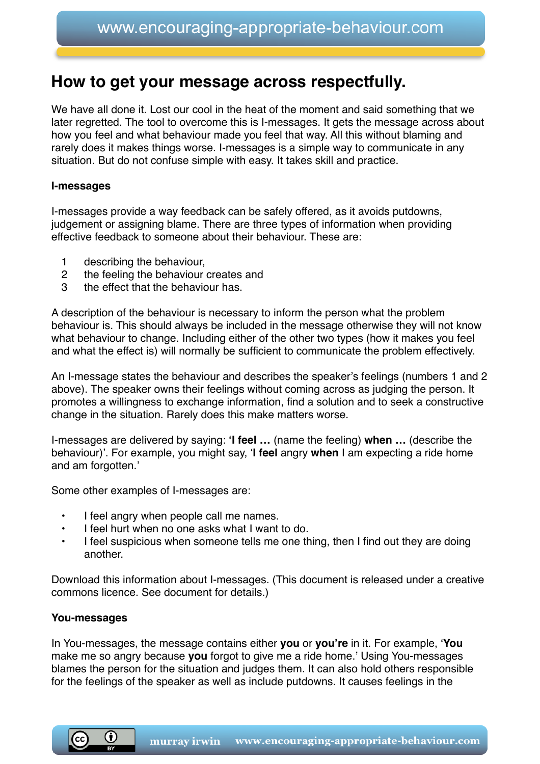## **How to get your message across respectfully.**

We have all done it. Lost our cool in the heat of the moment and said something that we later regretted. The tool to overcome this is I-messages. It gets the message across about how you feel and what behaviour made you feel that way. All this without blaming and rarely does it makes things worse. I-messages is a simple way to communicate in any situation. But do not confuse simple with easy. It takes skill and practice.

## **I-messages**

I-messages provide a way feedback can be safely offered, as it avoids putdowns, judgement or assigning blame. There are three types of information when providing effective feedback to someone about their behaviour. These are:

- 1 describing the behaviour,<br>2 the feeling the behaviour
- the feeling the behaviour creates and
- 3 the effect that the behaviour has.

A description of the behaviour is necessary to inform the person what the problem behaviour is. This should always be included in the message otherwise they will not know what behaviour to change. Including either of the other two types (how it makes you feel and what the effect is) will normally be sufficient to communicate the problem effectively.

An I-message states the behaviour and describes the speaker's feelings (numbers 1 and 2 above). The speaker owns their feelings without coming across as judging the person. It promotes a willingness to exchange information, find a solution and to seek a constructive change in the situation. Rarely does this make matters worse.

I-messages are delivered by saying: **ʻI feel …** (name the feeling) **when …** (describe the behaviour)'. For example, you might say, ʻ**I feel** angry **when** I am expecting a ride home and am forgotten.'

Some other examples of I-messages are:

- I feel angry when people call me names.
- I feel hurt when no one asks what I want to do.
- I feel suspicious when someone tells me one thing, then I find out they are doing another.

Download this information about I-messages. (This document is released under a creative commons licence. See document for details.)

### **You-messages**

In You-messages, the message contains either **you** or **you're** in it. For example, ʻ**You** make me so angry because **you** forgot to give me a ride home.' Using You-messages blames the person for the situation and judges them. It can also hold others responsible for the feelings of the speaker as well as include putdowns. It causes feelings in the

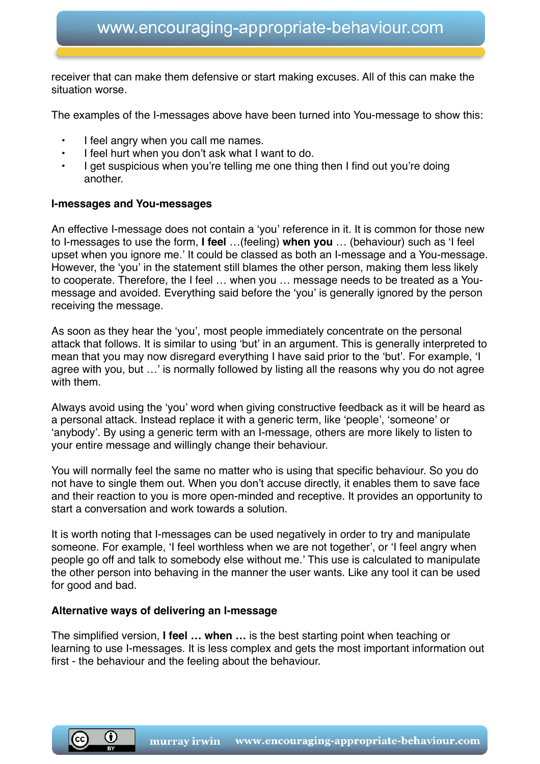receiver that can make them defensive or start making excuses. All of this can make the situation worse.

The examples of the I-messages above have been turned into You-message to show this:

- I feel angry when you call me names.
- I feel hurt when you don't ask what I want to do.
- I get suspicious when you're telling me one thing then I find out you're doing another.

#### **I-messages and You-messages**

An effective I-message does not contain a ʻyou' reference in it. It is common for those new to I-messages to use the form, **I feel** …(feeling) **when you** … (behaviour) such as ʻI feel upset when you ignore me.' It could be classed as both an I-message and a You-message. However, the ʻyou' in the statement still blames the other person, making them less likely to cooperate. Therefore, the I feel … when you … message needs to be treated as a Youmessage and avoided. Everything said before the ʻyou' is generally ignored by the person receiving the message.

As soon as they hear the ʻyou', most people immediately concentrate on the personal attack that follows. It is similar to using ʻbut' in an argument. This is generally interpreted to mean that you may now disregard everything I have said prior to the ʻbut'. For example, ʻI agree with you, but …' is normally followed by listing all the reasons why you do not agree with them.

Always avoid using the ʻyou' word when giving constructive feedback as it will be heard as a personal attack. Instead replace it with a generic term, like ʻpeople', ʻsomeone' or ʻanybody'. By using a generic term with an I-message, others are more likely to listen to your entire message and willingly change their behaviour.

You will normally feel the same no matter who is using that specific behaviour. So you do not have to single them out. When you don't accuse directly, it enables them to save face and their reaction to you is more open-minded and receptive. It provides an opportunity to start a conversation and work towards a solution.

It is worth noting that I-messages can be used negatively in order to try and manipulate someone. For example, ʻI feel worthless when we are not together', or ʻI feel angry when people go off and talk to somebody else without me.' This use is calculated to manipulate the other person into behaving in the manner the user wants. Like any tool it can be used for good and bad.

#### **Alternative ways of delivering an I-message**

The simplified version, **I feel … when …** is the best starting point when teaching or learning to use I-messages. It is less complex and gets the most important information out first - the behaviour and the feeling about the behaviour.

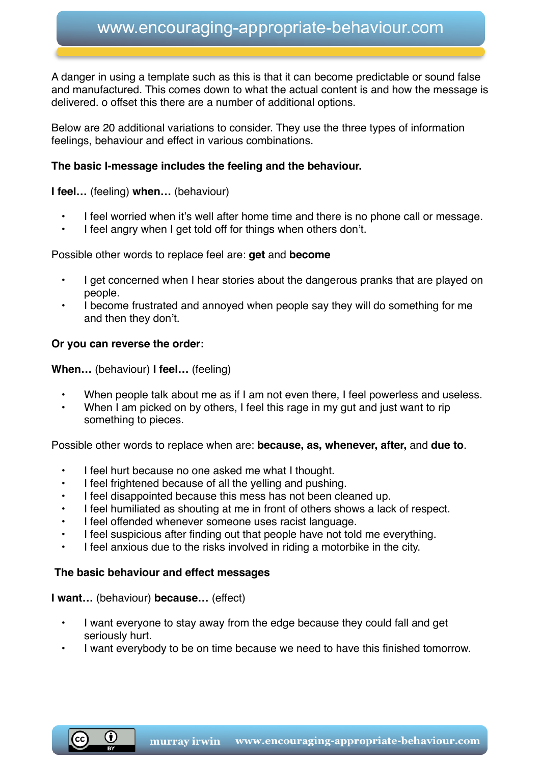A danger in using a template such as this is that it can become predictable or sound false and manufactured. This comes down to what the actual content is and how the message is delivered. o offset this there are a number of additional options.

Below are 20 additional variations to consider. They use the three types of information feelings, behaviour and effect in various combinations.

## **The basic I-message includes the feeling and the behaviour.**

**I feel…** (feeling) **when…** (behaviour)

- I feel worried when it's well after home time and there is no phone call or message.
- I feel angry when I get told off for things when others don't.

Possible other words to replace feel are: **get** and **become**

- I get concerned when I hear stories about the dangerous pranks that are played on people.
- I become frustrated and annoyed when people say they will do something for me and then they don't.

## **Or you can reverse the order:**

**When…** (behaviour) **I feel…** (feeling)

- When people talk about me as if I am not even there, I feel powerless and useless.
- When I am picked on by others, I feel this rage in my gut and just want to rip something to pieces.

Possible other words to replace when are: **because, as, whenever, after,** and **due to**.

- I feel hurt because no one asked me what I thought.
- I feel frightened because of all the yelling and pushing.
- I feel disappointed because this mess has not been cleaned up.
- I feel humiliated as shouting at me in front of others shows a lack of respect.
- I feel offended whenever someone uses racist language.
- I feel suspicious after finding out that people have not told me everything.
- I feel anxious due to the risks involved in riding a motorbike in the city.

### **The basic behaviour and effect messages**

### **I want…** (behaviour) **because…** (effect)

- I want everyone to stay away from the edge because they could fall and get seriously hurt.
- I want everybody to be on time because we need to have this finished tomorrow.

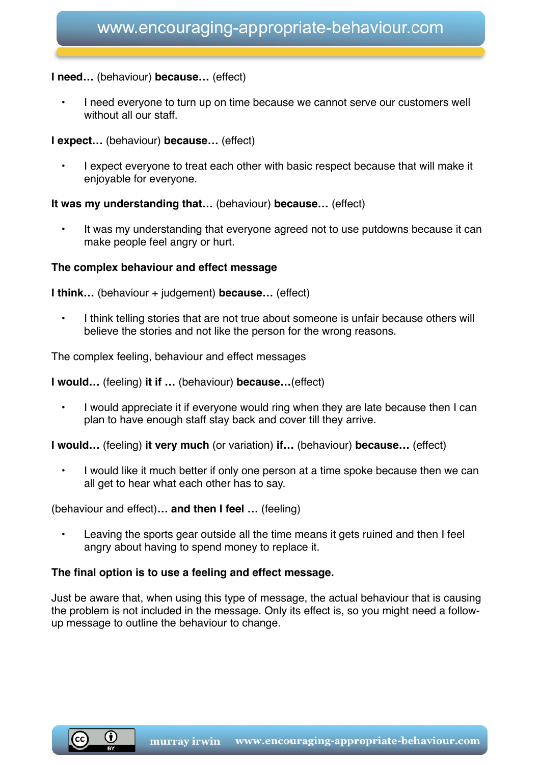**I need…** (behaviour) **because…** (effect)

I need everyone to turn up on time because we cannot serve our customers well without all our staff.

**I expect…** (behaviour) **because…** (effect)

I expect everyone to treat each other with basic respect because that will make it enjoyable for everyone.

**It was my understanding that…** (behaviour) **because…** (effect)

It was my understanding that everyone agreed not to use putdowns because it can make people feel angry or hurt.

### **The complex behaviour and effect message**

**I think…** (behaviour + judgement) **because…** (effect)

• I think telling stories that are not true about someone is unfair because others will believe the stories and not like the person for the wrong reasons.

The complex feeling, behaviour and effect messages

**I would…** (feeling) **it if …** (behaviour) **because…**(effect)

I would appreciate it if everyone would ring when they are late because then I can plan to have enough staff stay back and cover till they arrive.

**I would…** (feeling) **it very much** (or variation) **if…** (behaviour) **because…** (effect)

I would like it much better if only one person at a time spoke because then we can all get to hear what each other has to say.

(behaviour and effect)**… and then I feel …** (feeling)

• Leaving the sports gear outside all the time means it gets ruined and then I feel angry about having to spend money to replace it.

### **The final option is to use a feeling and effect message.**

Just be aware that, when using this type of message, the actual behaviour that is causing the problem is not included in the message. Only its effect is, so you might need a followup message to outline the behaviour to change.